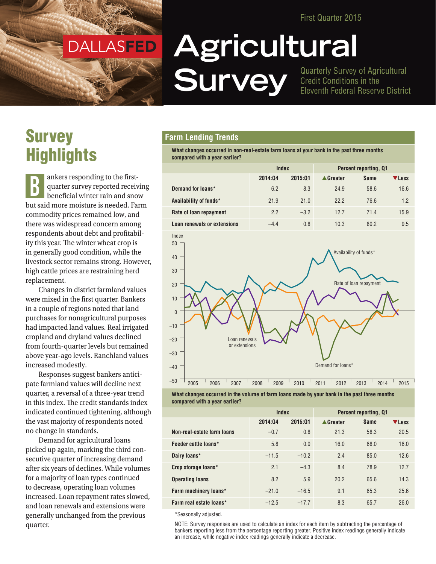First Quarter 2015

DALLASFED DALLASFED

# **Agricultural SUITVEV** Quarterly Survey of Agricultural<br>
Fleventh Federal Reserve District

Credit Conditions in the Eleventh Federal Reserve District

## **Survey Highlights**

ankers responding to the firstquarter survey reported receiving beneficial winter rain and snow but said more moisture is needed. Farm commodity prices remained low, and there was widespread concern among respondents about debt and profitability this year. The winter wheat crop is in generally good condition, while the livestock sector remains strong. However, high cattle prices are restraining herd replacement. B

Changes in district farmland values were mixed in the first quarter. Bankers in a couple of regions noted that land purchases for nonagricultural purposes had impacted land values. Real irrigated cropland and dryland values declined from fourth-quarter levels but remained above year-ago levels. Ranchland values increased modestly.

Responses suggest bankers anticipate farmland values will decline next quarter, a reversal of a three-year trend in this index. The credit standards index indicated continued tightening, although the vast majority of respondents noted no change in standards.

Demand for agricultural loans picked up again, marking the third consecutive quarter of increasing demand after six years of declines. While volumes for a majority of loan types continued to decrease, operating loan volumes increased. Loan repayment rates slowed, and loan renewals and extensions were generally unchanged from the previous quarter.

#### **Farm Lending Trends**

**What changes occurred in non-real-estate farm loans at your bank in the past three months compared with a year earlier?**

|                             | Index   |         | <b>Percent reporting, Q1</b> |             |       |
|-----------------------------|---------|---------|------------------------------|-------------|-------|
|                             | 2014:04 | 2015:01 | ▲ Greater                    | <b>Same</b> | ▼Less |
| Demand for loans*           | 6.2     | 8.3     | 24.9                         | 58.6        | 16.6  |
| Availability of funds*      | 21.9    | 21.0    | 22.2                         | 76.6        | 1.2   |
| Rate of loan repayment      | 2.2     | $-3.2$  | 12.7                         | 71.4        | 15.9  |
| Loan renewals or extensions | $-4.4$  | 0.8     | 10.3                         | 80.2        | 9.5   |





|                            | Index   |         | <b>Percent reporting, Q1</b> |             |       |
|----------------------------|---------|---------|------------------------------|-------------|-------|
|                            | 2014:04 | 2015:01 | ▲ Greater                    | <b>Same</b> | VLess |
| Non-real-estate farm loans | $-0.7$  | 0.8     | 21.3                         | 58.3        | 20.5  |
| Feeder cattle loans*       | 5.8     | 0.0     | 16.0                         | 68.0        | 16.0  |
| Dairy loans*               | $-11.5$ | $-10.2$ | 2.4                          | 85.0        | 12.6  |
| Crop storage loans*        | 2.1     | $-4.3$  | 8.4                          | 78.9        | 12.7  |
| <b>Operating loans</b>     | 8.2     | 5.9     | 20.2                         | 65.6        | 14.3  |
| Farm machinery loans*      | $-21.0$ | $-16.5$ | 9.1                          | 65.3        | 25.6  |
| Farm real estate loans*    | $-12.5$ | $-17.7$ | 8.3                          | 65.7        | 26.0  |

\*Seasonally adjusted.

NOTE: Survey responses are used to calculate an index for each item by subtracting the percentage of bankers reporting less from the percentage reporting greater. Positive index readings generally indicate an increase, while negative index readings generally indicate a decrease.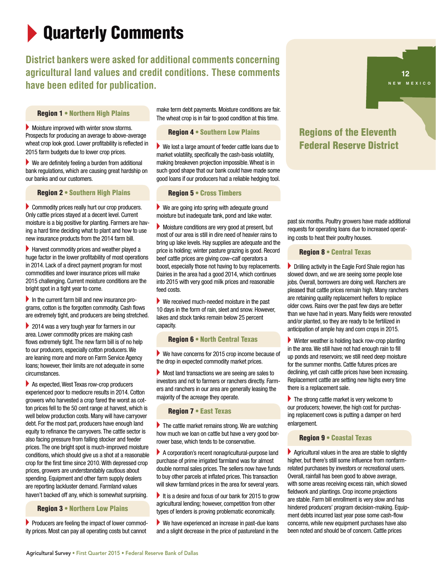# **Quarterly Comments**

### **District bankers were asked for additional comments concerning agricultural land values and credit conditions. These comments have been edited for publication.**

Region 1 • Northern High Plains

 $\blacktriangleright$  Moisture improved with winter snow storms. Prospects for producing an average to above-average wheat crop look good. Lower profitability is reflected in 2015 farm budgets due to lower crop prices.

 $\blacktriangleright$  We are definitely feeling a burden from additional bank regulations, which are causing great hardship on our banks and our customers.

Region 2 • Southern High Plains

 $\triangleright$  Commodity prices really hurt our crop producers. Only cattle prices stayed at a decent level. Current moisture is a big positive for planting. Farmers are having a hard time deciding what to plant and how to use new insurance products from the 2014 farm bill.

 $\blacktriangleright$  Harvest commodity prices and weather played a huge factor in the lower profitability of most operations in 2014. Lack of a direct payment program for most commodities and lower insurance prices will make 2015 challenging. Current moisture conditions are the bright spot in a tight year to come.

 $\blacktriangleright$  In the current farm bill and new insurance programs, cotton is the forgotten commodity. Cash flows are extremely tight, and producers are being stretched.

 $\triangleright$  2014 was a very tough year for farmers in our area. Lower commodity prices are making cash flows extremely tight. The new farm bill is of no help to our producers, especially cotton producers. We are leaning more and more on Farm Service Agency loans; however, their limits are not adequate in some circumstances.

 $\blacktriangleright$  As expected, West Texas row-crop producers experienced poor to mediocre results in 2014. Cotton growers who harvested a crop fared the worst as cotton prices fell to the 50 cent range at harvest, which is well below production costs. Many will have carryover debt. For the most part, producers have enough land equity to refinance the carryovers. The cattle sector is also facing pressure from falling stocker and feeder prices. The one bright spot is much-improved moisture conditions, which should give us a shot at a reasonable crop for the first time since 2010. With depressed crop prices, growers are understandably cautious about spending. Equipment and other farm supply dealers are reporting lackluster demand. Farmland values haven't backed off any, which is somewhat surprising.

Region 3 • Northern Low Plains

 $\blacktriangleright$  Producers are feeling the impact of lower commodity prices. Most can pay all operating costs but cannot

make term debt payments. Moisture conditions are fair. The wheat crop is in fair to good condition at this time.

Region 4 • Southern Low Plains

 $\blacktriangleright$  We lost a large amount of feeder cattle loans due to market volatility, specifically the cash-basis volatility, making breakeven projection impossible. Wheat is in such good shape that our bank could have made some good loans if our producers had a reliable hedging tool.

#### Region 5 • Cross Timbers

 $\blacktriangleright$  We are going into spring with adequate ground moisture but inadequate tank, pond and lake water.

 $\blacktriangleright$  Moisture conditions are very good at present, but most of our area is still in dire need of heavier rains to bring up lake levels. Hay supplies are adequate and the price is holding; winter pasture grazing is good. Record beef cattle prices are giving cow–calf operators a boost, especially those not having to buy replacements. Dairies in the area had a good 2014, which continues into 2015 with very good milk prices and reasonable feed costs.

 $\blacktriangleright$  We received much-needed moisture in the past 10 days in the form of rain, sleet and snow. However, lakes and stock tanks remain below 25 percent capacity.

#### Region 6 • North Central Texas

 $\blacktriangleright$  We have concerns for 2015 crop income because of the drop in expected commodity market prices.

Most land transactions we are seeing are sales to investors and not to farmers or ranchers directly. Farmers and ranchers in our area are generally leasing the majority of the acreage they operate.

#### Region 7 • East Texas

 $\blacktriangleright$  The cattle market remains strong. We are watching how much we loan on cattle but have a very good borrower base, which tends to be conservative.

 $\blacktriangleright$  A corporation's recent nonagricultural-purpose land purchase of prime irrigated farmland was for almost double normal sales prices. The sellers now have funds to buy other parcels at inflated prices. This transaction will skew farmland prices in the area for several years.

It is a desire and focus of our bank for 2015 to grow agricultural lending; however, competition from other types of lenders is proving problematic economically.

 $\blacktriangleright$  We have experienced an increase in past-due loans and a slight decrease in the price of pastureland in the



### Regions of the Eleventh Federal Reserve District

past six months. Poultry growers have made additional requests for operating loans due to increased operating costs to heat their poultry houses.

Region 8 • Central Texas

 $\blacktriangleright$  Drilling activity in the Eagle Ford Shale region has slowed down, and we are seeing some people lose jobs. Overall, borrowers are doing well. Ranchers are pleased that cattle prices remain high. Many ranchers are retaining quality replacement heifers to replace older cows. Rains over the past few days are better than we have had in years. Many fields were renovated and/or planted, so they are ready to be fertilized in anticipation of ample hay and corn crops in 2015.

 $\blacktriangleright$  Winter weather is holding back row-crop planting in the area. We still have not had enough rain to fill up ponds and reservoirs; we still need deep moisture for the summer months. Cattle futures prices are declining, yet cash cattle prices have been increasing. Replacement cattle are setting new highs every time there is a replacement sale.

 $\blacktriangleright$  The strong cattle market is very welcome to our producers; however, the high cost for purchasing replacement cows is putting a damper on herd enlargement.

#### Region 9 • Coastal Texas

 $\blacktriangleright$  Agricultural values in the area are stable to slightly higher, but there's still some influence from nonfarmrelated purchases by investors or recreational users. Overall, rainfall has been good to above average, with some areas receiving excess rain, which slowed fieldwork and plantings. Crop income projections are stable. Farm bill enrollment is very slow and has hindered producers' program decision-making. Equipment debts incurred last year pose some cash-flow concerns, while new equipment purchases have also been noted and should be of concern. Cattle prices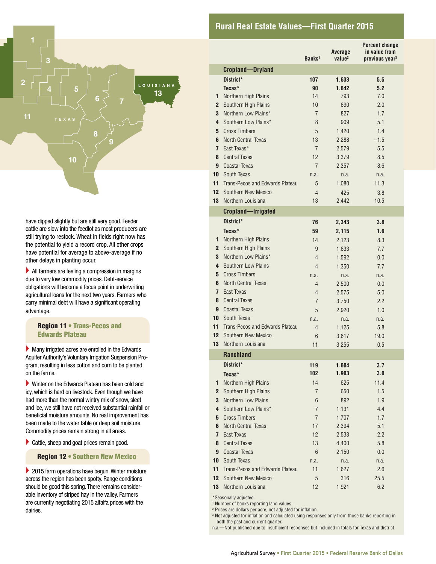#### Agricultural Survey • First Quarter 2015 • Federal Reserve Bank of Dallas

#### **Rural Real Estate Values—First Quarter 2015**

have dipped slightly but are still very good. Feeder cattle are slow into the feedlot as most producers are still trying to restock. Wheat in fields right now has the potential to yield a record crop. All other crops have potential for average to above-average if no other delays in planting occur.

**10**

**9**

**7 6**

**8**

**11**

**2**

**3**

**<sup>4</sup> <sup>5</sup> L O <sup>U</sup> ISIANA NEW MEXICO**

**TEX A S**

**13**

 $\blacktriangleright$  All farmers are feeling a compression in margins due to very low commodity prices. Debt-service obligations will become a focus point in underwriting agricultural loans for the next two years. Farmers who carry minimal debt will have a significant operating advantage.

 Region 11 • Trans-Pecos and Edwards Plateau

 $\blacktriangleright$  Many irrigated acres are enrolled in the Edwards Aquifer Authority's Voluntary Irrigation Suspension Program, resulting in less cotton and corn to be planted on the farms.

 $\blacktriangleright$  Winter on the Edwards Plateau has been cold and icy, which is hard on livestock. Even though we have had more than the normal wintry mix of snow, sleet and ice, we still have not received substantial rainfall or beneficial moisture amounts. No real improvement has been made to the water table or deep soil moisture. Commodity prices remain strong in all areas.

 $\blacktriangleright$  Cattle, sheep and goat prices remain good.

Region 12 • Southern New Mexico

 $\blacktriangleright$  2015 farm operations have begun. Winter moisture across the region has been spotty. Range conditions should be good this spring. There remains considerable inventory of striped hay in the valley. Farmers are currently negotiating 2015 alfalfa prices with the dairies.

|                  |                                 | Banks <sup>1</sup> | Average<br>value <sup>2</sup> | Percent change<br>in value from<br>previous year <sup>3</sup> |
|------------------|---------------------------------|--------------------|-------------------------------|---------------------------------------------------------------|
|                  | <b>Cropland-Dryland</b>         |                    |                               |                                                               |
|                  | District*                       | 107                | 1,633                         | 5.5                                                           |
|                  | Texas*                          | 90                 | 1,642                         | 5.2                                                           |
| 1.               | Northern High Plains            | 14                 | 793                           | 7.0                                                           |
| $\mathbf{2}$     | Southern High Plains            | 10                 | 690                           | 2.0                                                           |
| 3                | Northern Low Plains*            | 7                  | 827                           | 1.7                                                           |
| 4                | Southern Low Plains*            | 8                  | 909                           | 5.1                                                           |
| 5                | <b>Cross Timbers</b>            | 5                  | 1,420                         | 1.4                                                           |
| 6                | <b>North Central Texas</b>      | 13                 | 2.288                         | $-1.5$                                                        |
| $\mathbf{7}$     | East Texas*                     | $\overline{7}$     | 2,579                         | 5.5                                                           |
| 8                | <b>Central Texas</b>            | 12                 | 3,379                         | 8.5                                                           |
| 9                | <b>Coastal Texas</b>            | $\overline{7}$     | 2,357                         | 8.6                                                           |
| $10-1$           | South Texas                     | n.a.               | n.a.                          | n.a.                                                          |
| 11               | Trans-Pecos and Edwards Plateau | 5                  | 1,080                         | 11.3                                                          |
| 12 <sup>2</sup>  | Southern New Mexico             | $\overline{4}$     | 425                           | 3.8                                                           |
|                  | <b>13</b> Northern Louisiana    | 13                 | 2,442                         | 10.5                                                          |
|                  | <b>Cropland-Irrigated</b>       |                    |                               |                                                               |
|                  | District*                       | 76                 | 2,343                         | 3.8                                                           |
|                  | Texas*                          | 59                 | 2,115                         | 1.6                                                           |
| 1                | Northern High Plains            | 14                 | 2.123                         | 8.3                                                           |
| $\mathbf{2}$     | Southern High Plains            | 9                  | 1,633                         | 7.7                                                           |
| 3                | Northern Low Plains*            | 4                  | 1,592                         | 0.0                                                           |
| 4                | Southern Low Plains             | 4                  | 1,350                         | 7.7                                                           |
| 5                | <b>Cross Timbers</b>            | n.a.               | n.a.                          | n.a.                                                          |
| 6                | <b>North Central Texas</b>      | 4                  | 2,500                         | 0.0                                                           |
| 7                | East Texas                      | 4                  | 2,575                         | 5.0                                                           |
| 8                | <b>Central Texas</b>            | 7                  | 3,750                         | 2.2                                                           |
| 9                | <b>Coastal Texas</b>            | 5                  | 2,920                         | 1.0                                                           |
| $10-1$           | South Texas                     | n.a.               | n.a.                          | n.a.                                                          |
| 11               | Trans-Pecos and Edwards Plateau | 4                  | 1,125                         | 5.8                                                           |
| 12 <sup>12</sup> | Southern New Mexico             | 6                  | 3,617                         | 19.0                                                          |
| 13               | Northern Louisiana              | 11                 | 3.255                         | 0.5                                                           |
|                  | <b>Ranchland</b>                |                    |                               |                                                               |
|                  | District*                       | 119                | 1,604                         | 3.7                                                           |
|                  | Texas*                          | 102                | 1,903                         | 3.0                                                           |
| 1                | Northern High Plains            | 14                 | 625                           | 11.4                                                          |
| $\mathbf{2}$     | Southern High Plains            | 7                  | 650                           | 1.5                                                           |
| 3                | <b>Northern Low Plains</b>      | 6                  | 892                           | 1.9                                                           |
| 4                | Southern Low Plains*            | $\overline{7}$     | 1,131                         | 4.4                                                           |
| 5                | <b>Cross Timbers</b>            | $\overline{7}$     | 1,707                         | 1.7                                                           |
| 6                | <b>North Central Texas</b>      | 17                 | 2,394                         | 5.1                                                           |
| $\mathbf{7}$     | East Texas                      | 12                 | 2,533                         | 2.2                                                           |
| 8                | <b>Central Texas</b>            | 13                 | 4,400                         | 5.8                                                           |
| 9                | <b>Coastal Texas</b>            | 6                  | 2,150                         | 0.0                                                           |
| 10 <sup>°</sup>  | South Texas                     | n.a.               | n.a.                          | n.a.                                                          |
| 11               | Trans-Pecos and Edwards Plateau | 11                 | 1,627                         | 2.6                                                           |
| 12 <sup>2</sup>  | Southern New Mexico             | 5                  | 316                           | 25.5                                                          |
| 13               | Northern Louisiana              | 12                 | 1,921                         | 6.2                                                           |
|                  | anally adjusted                 |                    |                               |                                                               |

seasonally adjusted

<sup>1</sup> Number of banks reporting land values.

2 Prices are dollars per acre, not adjusted for inflation.

3 Not adjusted for inflation and calculated using responses only from those banks reporting in both the past and current quarter.

n.a.—Not published due to insufficient responses but included in totals for Texas and district.